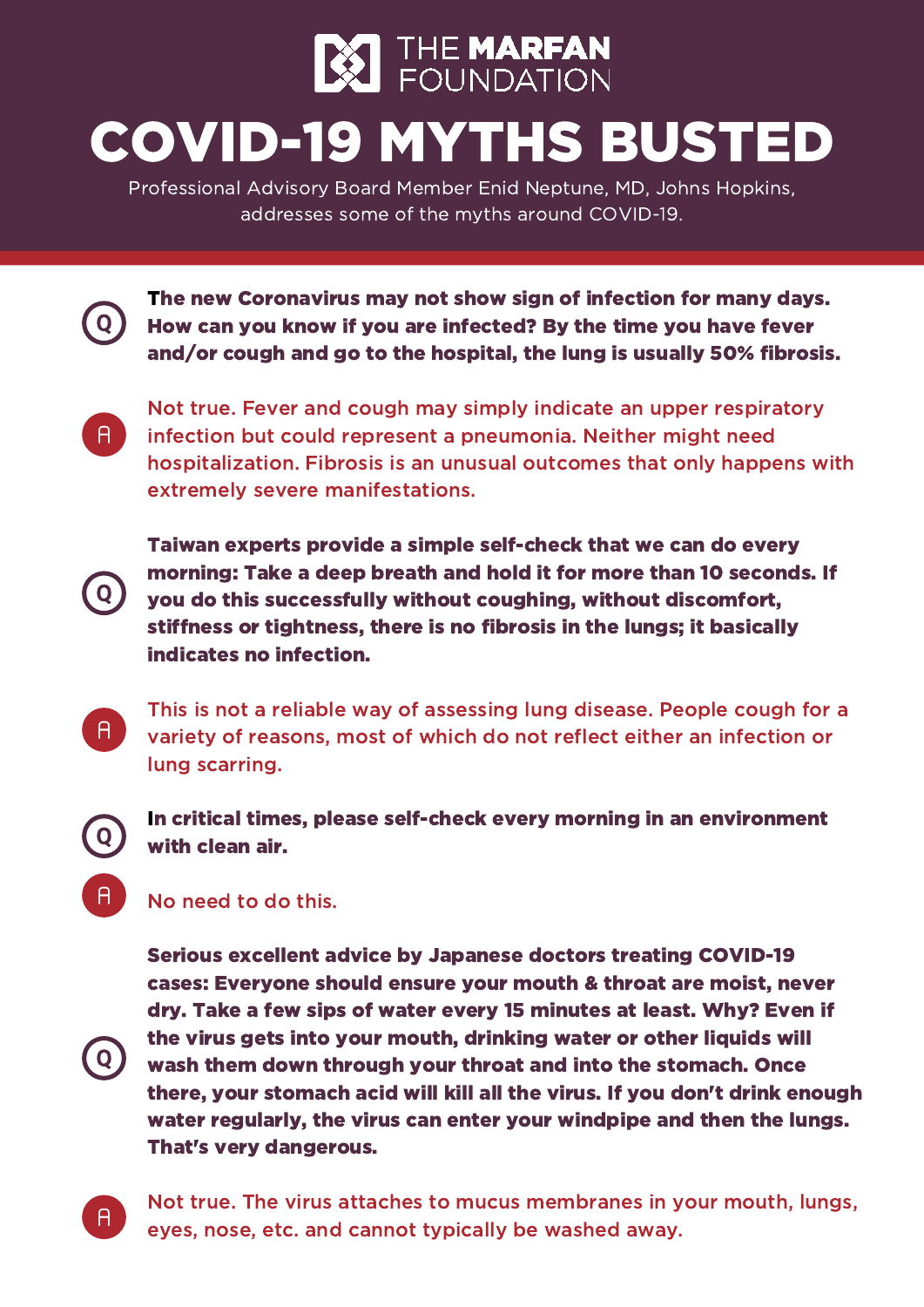

Professional Advisory Board Member Enid Neptune, MD, Johns Hopkins, addresses some of the myths around COVID-19.

The new Coronavirus may not show sign of infection for many days. How can you know if you are infected? By the time you have fever and/or cough and go to the hospital, the lung is usually 50% fibrosis.

 $A$ 

Q

 $A^{\dagger}$ 

 $\mathsf{A}$ 

Not true. Fever and cough may simply indicate an upper respiratory infection but could represent a pneumonia. Neither might need hospitalization. Fibrosis is an unusual outcomes that only happens with extremely severe manifestations.

Taiwan experts provide a simple self-check that we can do every morning: Take a deep breath and hold it for more than 10 seconds. If you do this successfully without coughing, without discomfort, stiffness or tightness, there is no fibrosis in the lungs; it basically indicates no infection.

This is not a reliable way of assessing lung disease. People cough for a variety of reasons, most of which do not reflect either an infection or lung scarring.

In critical times, please self-check every morning in an environment with clean air.

## No need to do this.

Serious excellent advice by Japanese doctors treating COVID-19 cases: Everyone should ensure your mouth & throat are moist, never dry. Take a few sips of water every 15 minutes at least. Why? Even if the virus gets into your mouth, drinking water or other liquids will wash them down through your throat and into the stomach. Once there, your stomach acid will kill all the virus. If you don't drink enough water regularly, the virus can enter your windpipe and then the lungs. That's very dangerous.